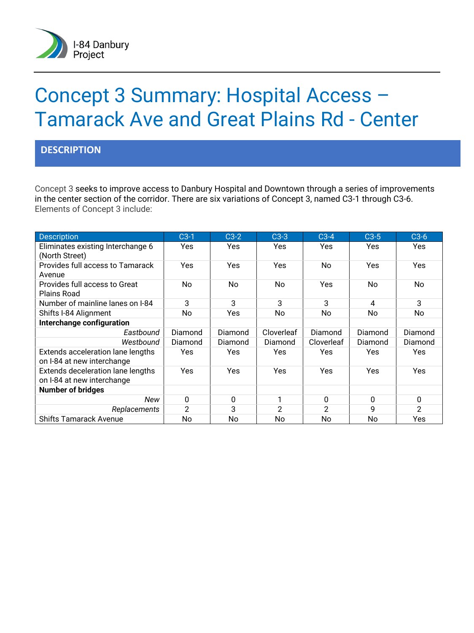

# Concept 3 Summary: Hospital Access – Tamarack Ave and Great Plains Rd - Center

### **DESCRIPTION**

Concept 3 seeks to improve access to Danbury Hospital and Downtown through a series of improvements in the center section of the corridor. There are six variations of Concept 3, named C3-1 through C3-6. Elements of Concept 3 include:

| Description                                                     | $C3-1$      | $C3-2$      | $C3-3$         | $C3-4$         | $C3-5$  | $C3-6$         |
|-----------------------------------------------------------------|-------------|-------------|----------------|----------------|---------|----------------|
| Eliminates existing Interchange 6<br>(North Street)             | Yes         | <b>Yes</b>  | Yes            | <b>Yes</b>     | Yes     | Yes            |
| Provides full access to Tamarack<br>Avenue                      | Yes         | Yes         | Yes            | No.            | Yes     | Yes            |
| Provides full access to Great<br>Plains Road                    | No.         | No.         | N <sub>o</sub> | Yes            | No.     | N <sub>o</sub> |
| Number of mainline lanes on I-84                                | 3           | 3           | 3              | 3              | 4       | 3              |
| Shifts I-84 Alignment                                           | No          | Yes         | No             | No             | No      | No             |
| Interchange configuration                                       |             |             |                |                |         |                |
| Eastbound                                                       | Diamond     | Diamond     | Cloverleaf     | Diamond        | Diamond | Diamond        |
| Westbound                                                       | Diamond     | Diamond     | Diamond        | Cloverleaf     | Diamond | Diamond        |
| Extends acceleration lane lengths<br>on I-84 at new interchange | Yes         | Yes         | Yes            | <b>Yes</b>     | Yes     | <b>Yes</b>     |
| Extends deceleration lane lengths<br>on I-84 at new interchange | Yes         | Yes         | <b>Yes</b>     | <b>Yes</b>     | Yes     | Yes            |
| <b>Number of bridges</b>                                        |             |             |                |                |         |                |
| New                                                             | $\mathbf 0$ | $\mathbf 0$ | 1              | 0              | 0       | $\mathbf 0$    |
| <b>Replacements</b>                                             | 2           | 3           | 2              | $\mathfrak{p}$ | q       | $\overline{2}$ |
| <b>Shifts Tamarack Avenue</b>                                   | No.         | No          | No             | No.            | No      | Yes            |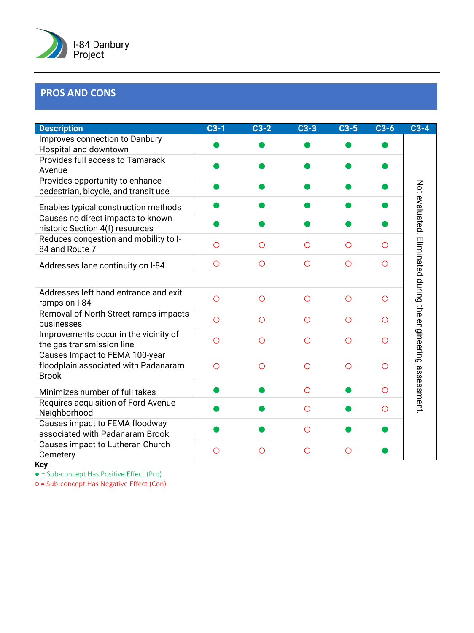

# **PROS AND CONS**

| <b>Description</b>                                                | $C3-1$     | $C3-2$     | $C3-3$     | $C3-5$         | $C3-6$     | $C3-4$                                       |
|-------------------------------------------------------------------|------------|------------|------------|----------------|------------|----------------------------------------------|
| Improves connection to Danbury                                    |            |            |            |                |            |                                              |
| Hospital and downtown                                             |            |            |            |                |            |                                              |
| Provides full access to Tamarack                                  |            |            |            |                |            |                                              |
| Avenue                                                            |            |            |            |                |            |                                              |
| Provides opportunity to enhance                                   |            |            |            |                |            |                                              |
| pedestrian, bicycle, and transit use                              |            |            |            |                |            |                                              |
| Enables typical construction methods                              |            |            |            |                |            | Not evaluated.                               |
| Causes no direct impacts to known                                 |            |            |            |                |            |                                              |
| historic Section 4(f) resources                                   |            |            |            |                |            |                                              |
| Reduces congestion and mobility to I-                             | $\bigcirc$ | $\bigcirc$ | $\bigcirc$ | $\overline{O}$ | O          |                                              |
| 84 and Route 7                                                    |            |            |            |                |            |                                              |
| Addresses lane continuity on I-84                                 | $\bigcirc$ | $\circ$    | $\bigcirc$ | $\circ$        | $\bigcirc$ | Eliminated during the engineering assessment |
|                                                                   |            |            |            |                |            |                                              |
|                                                                   |            |            |            |                |            |                                              |
| Addresses left hand entrance and exit                             | $\bigcirc$ | $\bigcirc$ | $\bigcirc$ | $\bigcirc$     | O          |                                              |
| ramps on I-84<br>Removal of North Street ramps impacts            |            |            |            |                |            |                                              |
| businesses                                                        | $\bigcirc$ | $\bigcirc$ | $\bigcirc$ | $\circ$        | O          |                                              |
| Improvements occur in the vicinity of                             |            |            |            |                |            |                                              |
| the gas transmission line                                         | $\bigcirc$ | $\circ$    | $\bigcirc$ | $\circ$        | ∩          |                                              |
| Causes Impact to FEMA 100-year                                    |            |            |            |                |            |                                              |
| floodplain associated with Padanaram                              | $\bigcirc$ | $\bigcirc$ | $\bigcirc$ | $\bigcirc$     | O          |                                              |
| <b>Brook</b>                                                      |            |            |            |                |            |                                              |
|                                                                   |            |            | $\bigcirc$ |                | O          |                                              |
| Minimizes number of full takes                                    |            |            |            |                |            |                                              |
| Requires acquisition of Ford Avenue                               |            |            | $\circ$    |                | $\bigcirc$ |                                              |
| Neighborhood                                                      |            |            |            |                |            |                                              |
| Causes impact to FEMA floodway<br>associated with Padanaram Brook |            |            | $\circ$    |                |            |                                              |
|                                                                   |            |            |            |                |            |                                              |
| Causes impact to Lutheran Church<br>Cemetery                      | O          | O          | $\bigcirc$ | O              |            |                                              |
|                                                                   |            |            |            |                |            |                                              |

**Key**

● = Sub -concept Has Positive Effect (Pro)

○ = Sub -concept Has Negative Effect (Con)